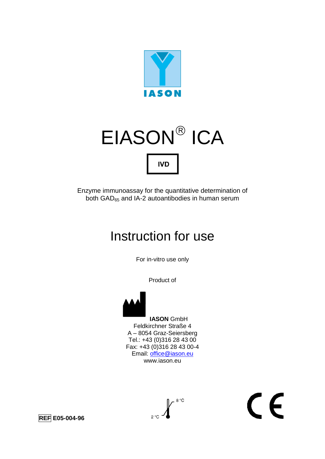

# EIASON ICA **IVD**

Enzyme immunoassay for the quantitative determination of both  $GAD_{65}$  and IA-2 autoantibodies in human serum

# Instruction for use

For in-vitro use only

Product of



 **IASON** GmbH Feldkirchner Straße 4 A – 8054 Graz-Seiersberg Tel.: +43 (0)316 28 43 00 Fax: +43 (0)316 28 43 00-4 Email: [office@iason.eu](mailto:office@iason.eu) www.iason.eu



# $\epsilon$

**REF E05-004-96**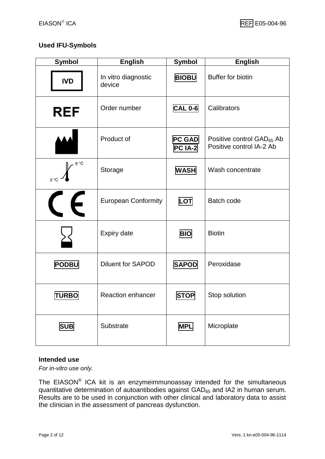#### **Used IFU-Symbols**

| <b>Symbol</b>        | <b>English</b>                | <b>Symbol</b>            | <b>English</b>                                                    |
|----------------------|-------------------------------|--------------------------|-------------------------------------------------------------------|
| <b>IVD</b>           | In vitro diagnostic<br>device | <b>BIOBU</b>             | <b>Buffer for biotin</b>                                          |
| <b>REF</b>           | Order number                  | <b>CAL 0-6</b>           | Calibrators                                                       |
|                      | Product of                    | <b>PC GAD</b><br>PC IA-2 | Positive control GAD <sub>65</sub> Ab<br>Positive control IA-2 Ab |
| 8 °C<br>$2^{\circ}C$ | Storage                       | <b>WASH</b>              | Wash concentrate                                                  |
| $\epsilon$           | <b>European Conformity</b>    | LOT                      | <b>Batch code</b>                                                 |
|                      | Expiry date                   | <b>BIO</b>               | <b>Biotin</b>                                                     |
| <b>PODBU</b>         | <b>Diluent for SAPOD</b>      | <b>SAPOD</b>             | Peroxidase                                                        |
| <b>TURBO</b>         | Reaction enhancer             | <b>STOP</b>              | Stop solution                                                     |
| <b>SUB</b>           | Substrate                     | <b>MPL</b>               | Microplate                                                        |

#### **Intended use**

*For in-vitro use only.*

The EIASON® ICA kit is an enzymeimmunoassay intended for the simultaneous quantitative determination of autoantibodies against  $GAD_{65}$  and IA2 in human serum. Results are to be used in conjunction with other clinical and laboratory data to assist the clinician in the assessment of pancreas dysfunction.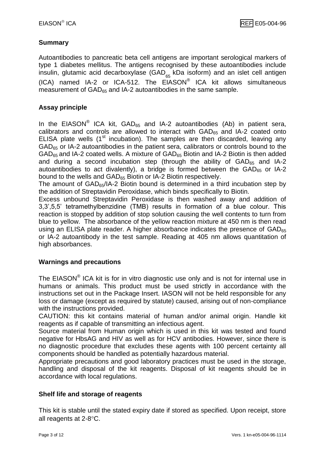#### **Summary**

Autoantibodies to pancreatic beta cell antigens are important serological markers of type 1 diabetes mellitus. The antigens recognised by these autoantibodies include insulin, glutamic acid decarboxylase (GAD<sub>65</sub> kDa isoform) and an islet cell antigen (ICA) named IA-2 or ICA-512. The  $EIASON^@$  ICA kit allows simultaneous measurement of GAD<sub>65</sub> and IA-2 autoantibodies in the same sample.

#### **Assay principle**

In the EIASON<sup>®</sup> ICA kit,  $GAD_{65}$  and IA-2 autoantibodies (Ab) in patient sera, calibrators and controls are allowed to interact with  $GAD_{65}$  and IA-2 coated onto ELISA plate wells  $(1<sup>st</sup>$  incubation). The samples are then discarded, leaving any  $GAD_{65}$  or IA-2 autoantibodies in the patient sera, calibrators or controls bound to the  $GAD_{65}$  and IA-2 coated wells. A mixture of  $GAD_{65}$  Biotin and IA-2 Biotin is then added and during a second incubation step (through the ability of  $GAD_{65}$  and IA-2 autoantibodies to act divalently), a bridge is formed between the  $GAD_{65}$  or IA-2 bound to the wells and GAD<sub>65</sub> Biotin or IA-2 Biotin respectively.

The amount of GAD65/IA-2 Biotin bound is determined in a third incubation step by the addition of Streptavidin Peroxidase, which binds specifically to Biotin.

Excess unbound Streptavidin Peroxidase is then washed away and addition of 3,3',5,5' tetramethylbenzidine (TMB) results in formation of a blue colour. This reaction is stopped by addition of stop solution causing the well contents to turn from blue to yellow. The absorbance of the yellow reaction mixture at 450 nm is then read using an ELISA plate reader. A higher absorbance indicates the presence of  $GAD_{65}$ or IA-2 autoantibody in the test sample. Reading at 405 nm allows quantitation of high absorbances.

#### **Warnings and precautions**

The EIASON<sup>®</sup> ICA kit is for in vitro diagnostic use only and is not for internal use in humans or animals. This product must be used strictly in accordance with the instructions set out in the Package Insert. IASON will not be held responsible for any loss or damage (except as required by statute) caused, arising out of non-compliance with the instructions provided.

CAUTION: this kit contains material of human and/or animal origin. Handle kit reagents as if capable of transmitting an infectious agent.

Source material from Human origin which is used in this kit was tested and found negative for HbsAG and HIV as well as for HCV antibodies. However, since there is no diagnostic procedure that excludes these agents with 100 percent certainty all components should be handled as potentially hazardous material.

Appropriate precautions and good laboratory practices must be used in the storage, handling and disposal of the kit reagents. Disposal of kit reagents should be in accordance with local regulations.

#### **Shelf life and storage of reagents**

This kit is stable until the stated expiry date if stored as specified. Upon receipt, store all reagents at  $2-8$ °C.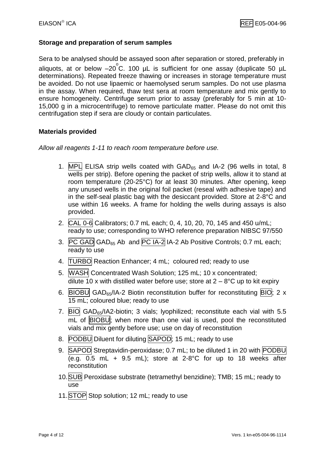#### **Storage and preparation of serum samples**

Sera to be analysed should be assayed soon after separation or stored, preferably in aliquots, at or below -20°C. 100 µL is sufficient for one assay (duplicate 50 µL determinations). Repeated freeze thawing or increases in storage temperature must be avoided. Do not use lipaemic or haemolysed serum samples. Do not use plasma in the assay. When required, thaw test sera at room temperature and mix gently to ensure homogeneity. Centrifuge serum prior to assay (preferably for 5 min at 10- 15,000 g in a microcentrifuge) to remove particulate matter. Please do not omit this centrifugation step if sera are cloudy or contain particulates.

#### **Materials provided**

*Allow all reagents 1-11 to reach room temperature before use.*

- 1. MPL ELISA strip wells coated with  $GAD_{65}$  and IA-2 (96 wells in total, 8 wells per strip). Before opening the packet of strip wells, allow it to stand at room temperature (20-25°C) for at least 30 minutes. After opening, keep any unused wells in the original foil packet (reseal with adhesive tape) and in the self-seal plastic bag with the desiccant provided. Store at 2-8°C and use within 16 weeks. A frame for holding the wells during assays is also provided.
- 2. CAL 0-6 Calibrators; 0.7 mL each; 0, 4, 10, 20, 70, 145 and 450 u/mL; ready to use; corresponding to WHO reference preparation NIBSC 97/550
- 3. PC GAD GAD<sub>65</sub> Ab and PC IA-2 IA-2 Ab Positive Controls; 0.7 mL each; ready to use
- 4. TURBO Reaction Enhancer; 4 mL; coloured red; ready to use
- 5. WASH Concentrated Wash Solution; 125 mL; 10 x concentrated; dilute 10 x with distilled water before use; store at  $2 - 8$ °C up to kit expiry
- 6. BIOBU GAD<sub>65</sub>/IA-2 Biotin reconstitution buffer for reconstituting BIO; 2 x 15 mL; coloured blue; ready to use
- 7.  $|B|O|$  GAD<sub>65</sub>/IA2-biotin; 3 vials; lyophilized; reconstitute each vial with 5.5 mL of **BIOBU**; when more than one vial is used, pool the reconstituted vials and mix gently before use; use on day of reconstitution
- 8. PODBU Diluent for diluting SAPOD; 15 mL; ready to use
- 9. SAPOD Streptavidin-peroxidase; 0.7 mL; to be diluted 1 in 20 with PODBU (e.g. 0.5 mL + 9.5 mL); store at 2-8°C for up to 18 weeks after reconstitution
- 10.SUB Peroxidase substrate (tetramethyl benzidine); TMB; 15 mL; ready to use
- 11.STOP Stop solution; 12 mL; ready to use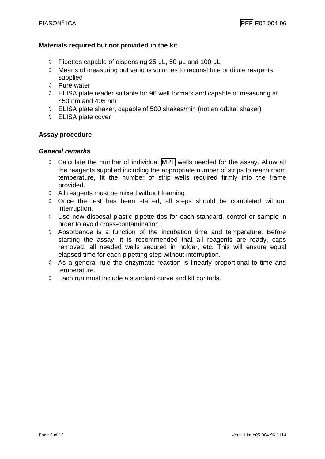#### **Materials required but not provided in the kit**

- $\Diamond$  Pipettes capable of dispensing 25 μL, 50 μL and 100 μL
- $\Diamond$  Means of measuring out various volumes to reconstitute or dilute reagents supplied
- $\Diamond$  Pure water
- ELISA plate reader suitable for 96 well formats and capable of measuring at 450 nm and 405 nm
- $\Diamond$  ELISA plate shaker, capable of 500 shakes/min (not an orbital shaker)
- ELISA plate cover

#### **Assay procedure**

#### *General remarks*

- $\Diamond$  Calculate the number of individual MPL wells needed for the assay. Allow all the reagents supplied including the appropriate number of strips to reach room temperature, fit the number of strip wells required firmly into the frame provided.
- $\Diamond$  All reagents must be mixed without foaming.
- $\Diamond$  Once the test has been started, all steps should be completed without interruption.
- $\Diamond$  Use new disposal plastic pipette tips for each standard, control or sample in order to avoid cross-contamination.
- $\Diamond$  Absorbance is a function of the incubation time and temperature. Before starting the assay, it is recommended that all reagents are ready, caps removed, all needed wells secured in holder, etc. This will ensure equal elapsed time for each pipetting step without interruption.
- $\Diamond$  As a general rule the enzymatic reaction is linearly proportional to time and temperature.
- Each run must include a standard curve and kit controls.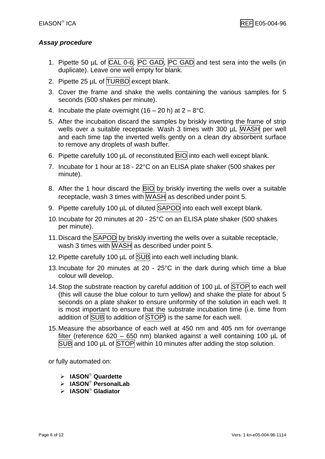#### *Assay procedure*

- 1. Pipette 50 µL of CAL 0-6, PC GAD, PC GAD and test sera into the wells (in duplicate). Leave one well empty for blank.
- 2. Pipette 25 uL of TURBO except blank.
- 3. Cover the frame and shake the wells containing the various samples for 5 seconds (500 shakes per minute).
- 4. Incubate the plate overnight  $(16 20 h)$  at  $2 8$ °C.
- 5. After the incubation discard the samples by briskly inverting the frame of strip wells over a suitable receptacle. Wash 3 times with 300 µL WASH per well and each time tap the inverted wells gently on a clean dry absorbent surface to remove any droplets of wash buffer.
- 6. Pipette carefully 100 µL of reconstituted **BIO** into each well except blank.
- 7. Incubate for 1 hour at 18 22°C on an ELISA plate shaker (500 shakes per minute).
- 8. After the 1 hour discard the **BIO** by briskly inverting the wells over a suitable receptacle, wash 3 times with WASH as described under point 5.
- 9. Pipette carefully 100 µL of diluted SAPOD into each well except blank.
- 10.Incubate for 20 minutes at 20 25°C on an ELISA plate shaker (500 shakes per minute).
- 11. Discard the SAPOD by briskly inverting the wells over a suitable receptacle, wash 3 times with WASH as described under point 5.
- 12. Pipette carefully 100 µL of SUB into each well including blank.
- 13.Incubate for 20 minutes at 20 25°C in the dark during which time a blue colour will develop.
- 14. Stop the substrate reaction by careful addition of 100  $\mu$ L of STOP to each well (this will cause the blue colour to turn yellow) and shake the plate for about 5 seconds on a plate shaker to ensure uniformity of the solution in each well. It is most important to ensure that the substrate incubation time (i.e. time from addition of SUB to addition of STOP) is the same for each well.
- 15.Measure the absorbance of each well at 450 nm and 405 nm for overrange filter (reference 620 – 650 nm) blanked against a well containing 100 µL of SUB and 100 µL of STOP within 10 minutes after adding the stop solution.

or fully automated on:

- **IASON Quardette**
- **EXALUATE:** PersonalLab
- **EXALUS EXAMPLE GLADIATOR**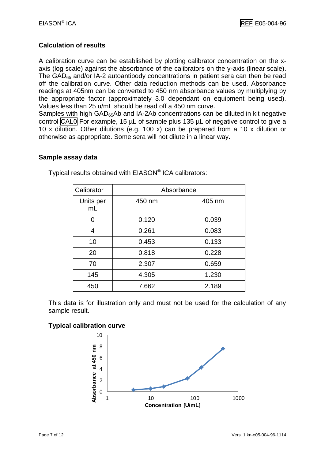#### **Calculation of results**

A calibration curve can be established by plotting calibrator concentration on the xaxis (log scale) against the absorbance of the calibrators on the y-axis (linear scale). The  $GAD_{65}$  and/or IA-2 autoantibody concentrations in patient sera can then be read off the calibration curve. Other data reduction methods can be used. Absorbance readings at 405nm can be converted to 450 nm absorbance values by multiplying by the appropriate factor (approximately 3.0 dependant on equipment being used). Values less than 25 u/mL should be read off a 450 nm curve.

Samples with high GAD<sub>65</sub>Ab and IA-2Ab concentrations can be diluted in kit negative control CAL0 For example, 15 µL of sample plus 135 µL of negative control to give a 10 x dilution. Other dilutions (e.g. 100 x) can be prepared from a 10 x dilution or otherwise as appropriate. Some sera will not dilute in a linear way.

#### **Sample assay data**

| Calibrator      | Absorbance |        |
|-----------------|------------|--------|
| Units per<br>mL | 450 nm     | 405 nm |
| 0               | 0.120      | 0.039  |
| 4               | 0.261      | 0.083  |
| 10              | 0.453      | 0.133  |
| 20              | 0.818      | 0.228  |
| 70              | 2.307      | 0.659  |
| 145             | 4.305      | 1.230  |
| 450             | 7.662      | 2.189  |

Typical results obtained with EIASON® ICA calibrators:

This data is for illustration only and must not be used for the calculation of any sample result.

#### **Typical calibration curve**

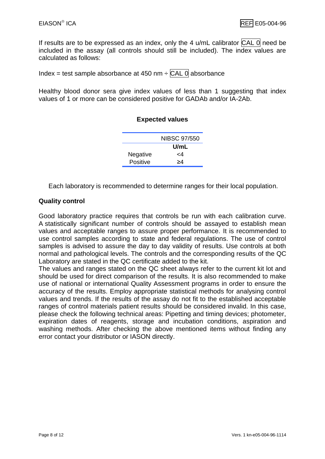If results are to be expressed as an index, only the 4  $u/mL$  calibrator  $\overline{CAL}$  0 need be included in the assay (all controls should still be included). The index values are calculated as follows:

Index = test sample absorbance at 450 nm  $\div$  CAL 0 absorbance

Healthy blood donor sera give index values of less than 1 suggesting that index values of 1 or more can be considered positive for GADAb and/or IA-2Ab.

#### **Expected values**

|          | NIBSC 97/550 |
|----------|--------------|
|          | U/mL         |
| Negative | -4           |
| Positive | >4           |

Each laboratory is recommended to determine ranges for their local population.

#### **Quality control**

Good laboratory practice requires that controls be run with each calibration curve. A statistically significant number of controls should be assayed to establish mean values and acceptable ranges to assure proper performance. It is recommended to use control samples according to state and federal regulations. The use of control samples is advised to assure the day to day validity of results. Use controls at both normal and pathological levels. The controls and the corresponding results of the QC Laboratory are stated in the QC certificate added to the kit.

The values and ranges stated on the QC sheet always refer to the current kit lot and should be used for direct comparison of the results. It is also recommended to make use of national or international Quality Assessment programs in order to ensure the accuracy of the results. Employ appropriate statistical methods for analysing control values and trends. If the results of the assay do not fit to the established acceptable ranges of control materials patient results should be considered invalid. In this case, please check the following technical areas: Pipetting and timing devices; photometer, expiration dates of reagents, storage and incubation conditions, aspiration and washing methods. After checking the above mentioned items without finding any error contact your distributor or IASON directly.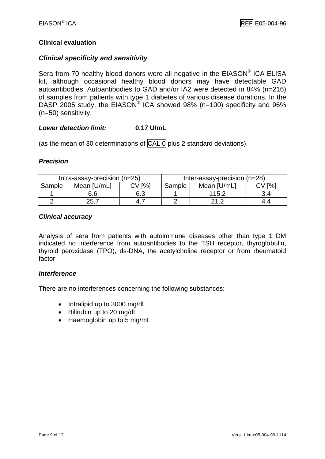#### **Clinical evaluation**

#### *Clinical specificity and sensitivity*

Sera from 70 healthy blood donors were all negative in the EIASON® ICA ELISA kit, although occasional healthy blood donors may have detectable GAD autoantibodies. Autoantibodies to GAD and/or IA2 were detected in 84% (n=216) of samples from patients with type 1 diabetes of various disease durations. In the DASP 2005 study, the EIASON<sup>®</sup> ICA showed 98% (n=100) specificity and 96% (n=50) sensitivity.

#### *Lower detection limit:* **0.17 U/mL**

(as the mean of 30 determinations of  $\overline{CAL}$  o plus 2 standard deviations).

#### *Precision*

| Intra-assay-precision $(n=25)$ |             |                | Inter-assay-precision (n=28) |             |                |
|--------------------------------|-------------|----------------|------------------------------|-------------|----------------|
| Sample                         | Mean [U/mL] | $\mathsf{I}\%$ | Sample                       | Mean [U/mL] | $\mathsf{I}\%$ |
|                                | 6.6         | 6.3            |                              | 115.2       | 3.4            |
|                                | 25.7        | -4. .          |                              |             | 4.4            |

#### *Clinical accuracy*

Analysis of sera from patients with autoimmune diseases other than type 1 DM indicated no interference from autoantibodies to the TSH receptor, thyroglobulin, thyroid peroxidase (TPO), ds-DNA, the acetylcholine receptor or from rheumatoid factor.

#### *Interference*

There are no interferences concerning the following substances:

- Intralipid up to 3000 mg/dl
- Bilirubin up to 20 mg/dl
- Haemoglobin up to 5 mg/mL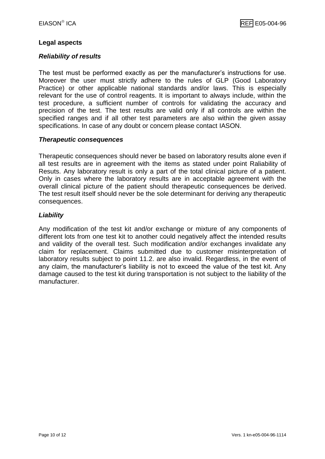#### **Legal aspects**

#### *Reliability of results*

The test must be performed exactly as per the manufacturer's instructions for use. Moreover the user must strictly adhere to the rules of GLP (Good Laboratory Practice) or other applicable national standards and/or laws. This is especially relevant for the use of control reagents. It is important to always include, within the test procedure, a sufficient number of controls for validating the accuracy and precision of the test. The test results are valid only if all controls are within the specified ranges and if all other test parameters are also within the given assay specifications. In case of any doubt or concern please contact IASON.

#### *Therapeutic consequences*

Therapeutic consequences should never be based on laboratory results alone even if all test results are in agreement with the items as stated under point Raliability of Resuts. Any laboratory result is only a part of the total clinical picture of a patient. Only in cases where the laboratory results are in acceptable agreement with the overall clinical picture of the patient should therapeutic consequences be derived. The test result itself should never be the sole determinant for deriving any therapeutic consequences.

#### *Liability*

Any modification of the test kit and/or exchange or mixture of any components of different lots from one test kit to another could negatively affect the intended results and validity of the overall test. Such modification and/or exchanges invalidate any claim for replacement. Claims submitted due to customer misinterpretation of laboratory results subject to point 11.2. are also invalid. Regardless, in the event of any claim, the manufacturer's liability is not to exceed the value of the test kit. Any damage caused to the test kit during transportation is not subject to the liability of the manufacturer.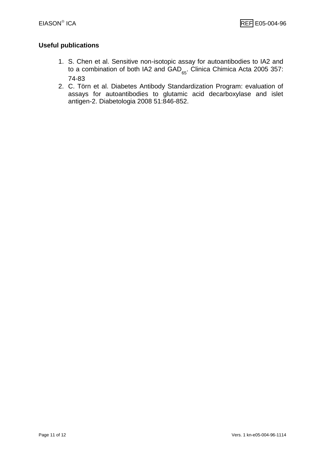#### **Useful publications**

- 1. S. Chen et al. Sensitive non-isotopic assay for autoantibodies to IA2 and to a combination of both IA2 and  $GAD_{65}$ . Clinica Chimica Acta 2005 357: 74-83
- 2. C. Törn et al. Diabetes Antibody Standardization Program: evaluation of assays for autoantibodies to glutamic acid decarboxylase and islet antigen-2. Diabetologia 2008 51:846-852.